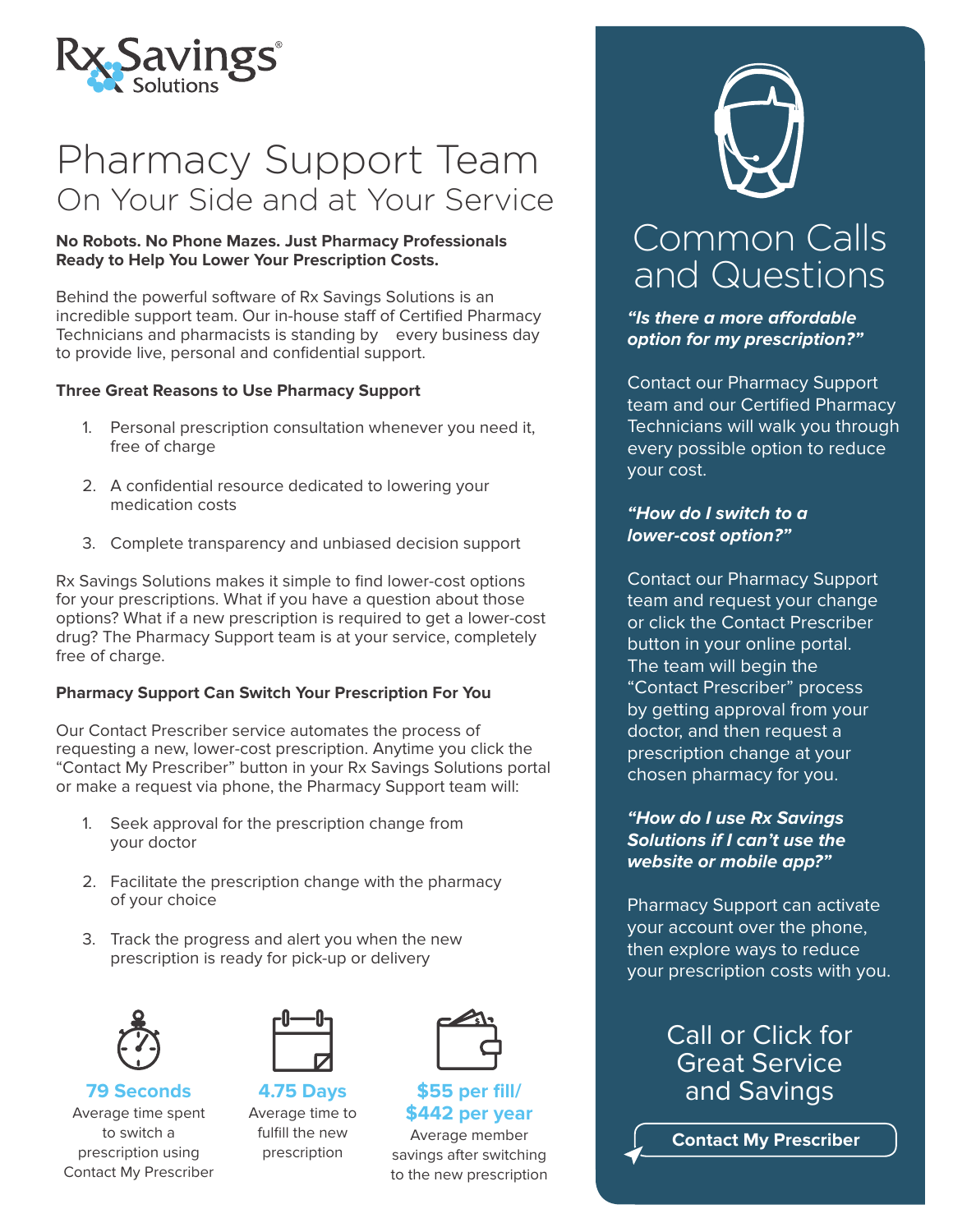

# Pharmacy Support Team On Your Side and at Your Service

#### **No Robots. No Phone Mazes. Just Pharmacy Professionals Ready to Help You Lower Your Prescription Costs.**

Behind the powerful software of Rx Savings Solutions is an incredible support team. Our in-house staff of Certified Pharmacy Technicians and pharmacists is standing by every business day to provide live, personal and confidential support.

#### **Three Great Reasons to Use Pharmacy Support**

- 1. Personal prescription consultation whenever you need it, free of charge
- 2. A confidential resource dedicated to lowering your medication costs
- 3. Complete transparency and unbiased decision support

Rx Savings Solutions makes it simple to find lower-cost options for your prescriptions. What if you have a question about those options? What if a new prescription is required to get a lower-cost drug? The Pharmacy Support team is at your service, completely free of charge.

#### **Pharmacy Support Can Switch Your Prescription For You**

Our Contact Prescriber service automates the process of requesting a new, lower-cost prescription. Anytime you click the "Contact My Prescriber" button in your Rx Savings Solutions portal or make a request via phone, the Pharmacy Support team will:

- 1. Seek approval for the prescription change from your doctor
- 2. Facilitate the prescription change with the pharmacy of your choice
- 3. Track the progress and alert you when the new prescription is ready for pick-up or delivery





**\$55 per fill/**

**4.75 Days 79 Seconds** Average time spent to switch a prescription using Contact My Prescriber

Average time to fulfill the new prescription

**\$442 per year** Average member savings after switching to the new prescription



## Common Calls and Questions

**"Is there a more affordable option for my prescription?"**

Contact our Pharmacy Support team and our Certified Pharmacy Technicians will walk you through every possible option to reduce your cost.

#### **"How do I switch to a lower-cost option?"**

Contact our Pharmacy Support team and request your change or click the Contact Prescriber button in your online portal. The team will begin the "Contact Prescriber" process by getting approval from your doctor, and then request a prescription change at your chosen pharmacy for you.

**"How do I use Rx Savings Solutions if I can't use the website or mobile app?"**

Pharmacy Support can activate your account over the phone, then explore ways to reduce your prescription costs with you.

### Call or Click for **Great Service** and Savings

**Contact My Prescriber**